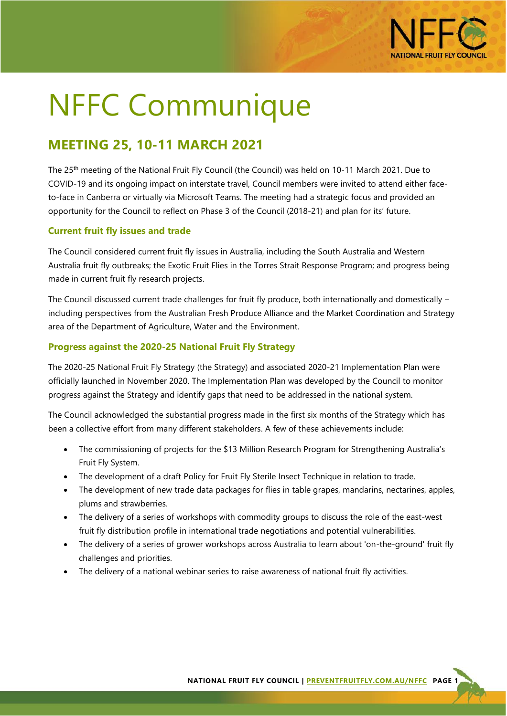

# NFFC Communique

# **MEETING 25, 10-11 MARCH 2021**

The 25<sup>th</sup> meeting of the National Fruit Fly Council (the Council) was held on 10-11 March 2021. Due to COVID-19 and its ongoing impact on interstate travel, Council members were invited to attend either faceto-face in Canberra or virtually via Microsoft Teams. The meeting had a strategic focus and provided an opportunity for the Council to reflect on Phase 3 of the Council (2018-21) and plan for its' future.

# **Current fruit fly issues and trade**

The Council considered current fruit fly issues in Australia, including the South Australia and Western Australia fruit fly outbreaks; the Exotic Fruit Flies in the Torres Strait Response Program; and progress being made in current fruit fly research projects.

The Council discussed current trade challenges for fruit fly produce, both internationally and domestically – including perspectives from the Australian Fresh Produce Alliance and the Market Coordination and Strategy area of the Department of Agriculture, Water and the Environment.

# **Progress against the 2020-25 National Fruit Fly Strategy**

The 2020-25 National Fruit Fly Strategy (the Strategy) and associated 2020-21 Implementation Plan were officially launched in November 2020. The Implementation Plan was developed by the Council to monitor progress against the Strategy and identify gaps that need to be addressed in the national system.

The Council acknowledged the substantial progress made in the first six months of the Strategy which has been a collective effort from many different stakeholders. A few of these achievements include:

- The commissioning of projects for the \$13 Million Research Program for Strengthening Australia's Fruit Fly System.
- The development of a draft Policy for Fruit Fly Sterile Insect Technique in relation to trade.
- The development of new trade data packages for flies in table grapes, mandarins, nectarines, apples, plums and strawberries.
- The delivery of a series of workshops with commodity groups to discuss the role of the east-west fruit fly distribution profile in international trade negotiations and potential vulnerabilities.
- The delivery of a series of grower workshops across Australia to learn about 'on-the-ground' fruit fly challenges and priorities.
- The delivery of a national webinar series to raise awareness of national fruit fly activities.